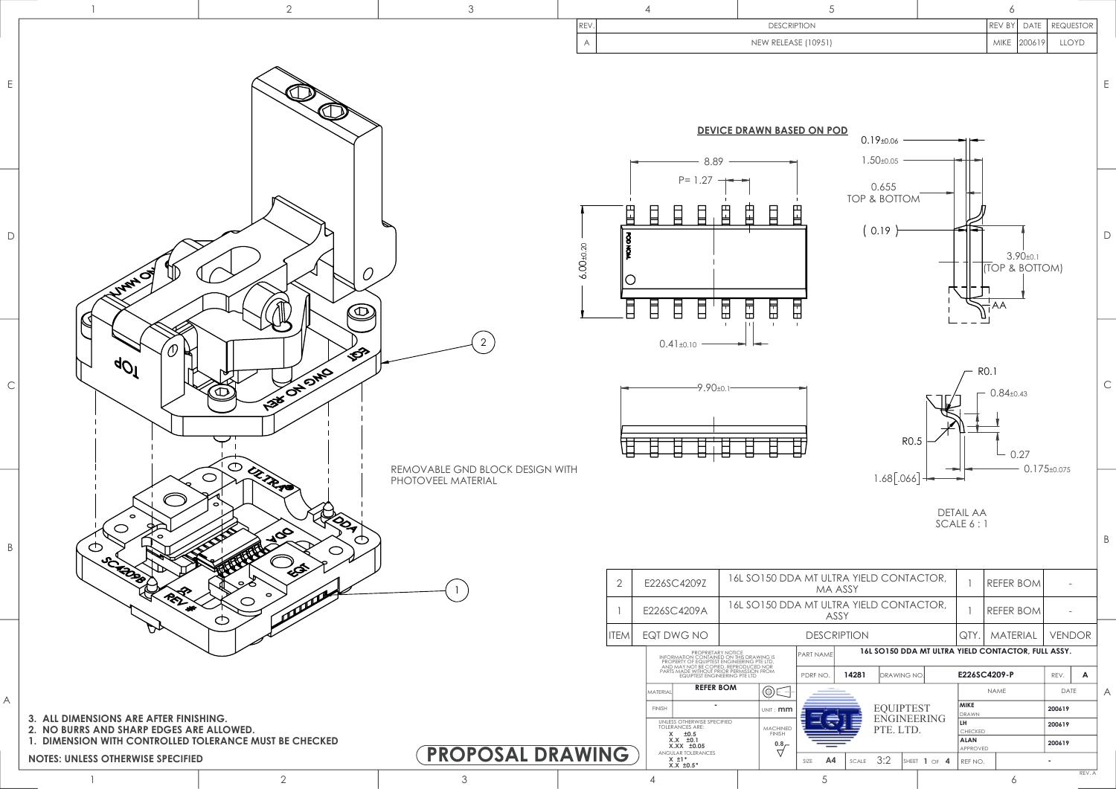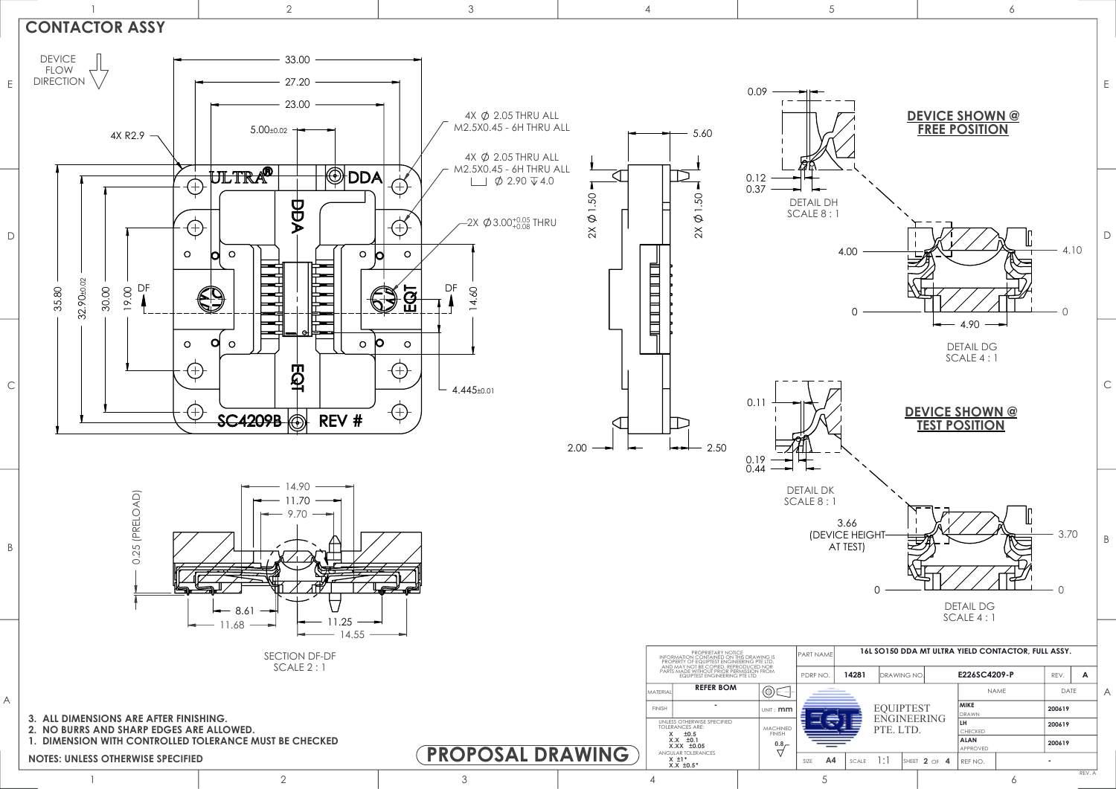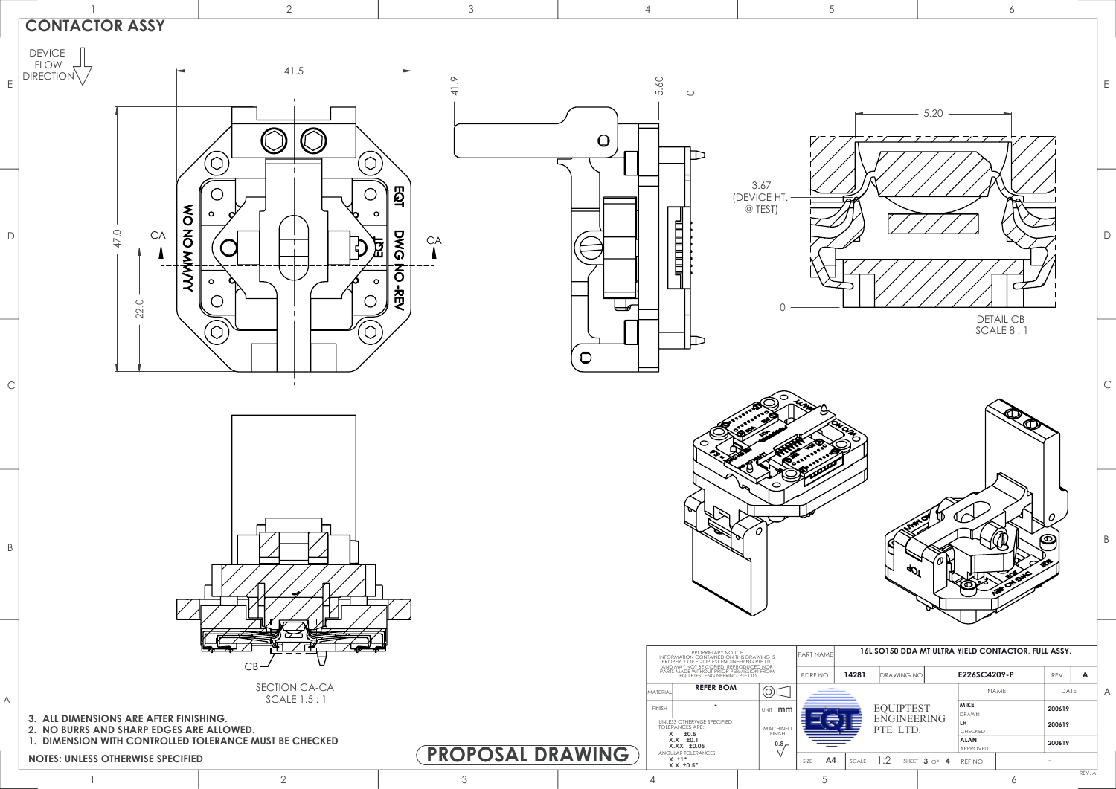